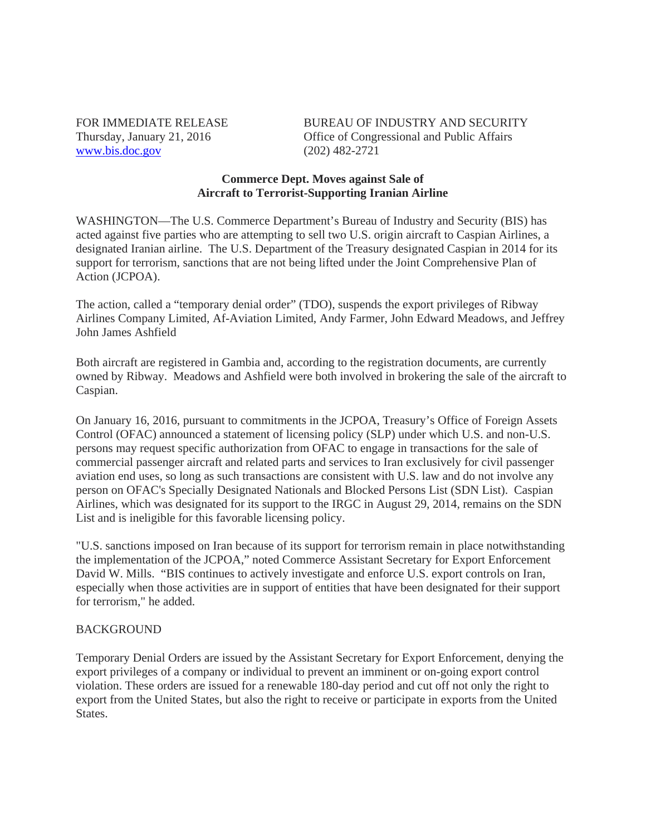www.bis.doc.gov (202) 482-2721

FOR IMMEDIATE RELEASE BUREAU OF INDUSTRY AND SECURITY Thursday, January 21, 2016 Office of Congressional and Public Affairs

## **Commerce Dept. Moves against Sale of Aircraft to Terrorist-Supporting Iranian Airline**

WASHINGTON—The U.S. Commerce Department's Bureau of Industry and Security (BIS) has acted against five parties who are attempting to sell two U.S. origin aircraft to Caspian Airlines, a designated Iranian airline. The U.S. Department of the Treasury designated Caspian in 2014 for its support for terrorism, sanctions that are not being lifted under the Joint Comprehensive Plan of Action (JCPOA).

The action, called a "temporary denial order" (TDO), suspends the export privileges of Ribway Airlines Company Limited, Af-Aviation Limited, Andy Farmer, John Edward Meadows, and Jeffrey John James Ashfield

Both aircraft are registered in Gambia and, according to the registration documents, are currently owned by Ribway. Meadows and Ashfield were both involved in brokering the sale of the aircraft to Caspian.

On January 16, 2016, pursuant to commitments in the JCPOA, Treasury's Office of Foreign Assets Control (OFAC) announced a statement of licensing policy (SLP) under which U.S. and non-U.S. persons may request specific authorization from OFAC to engage in transactions for the sale of commercial passenger aircraft and related parts and services to Iran exclusively for civil passenger aviation end uses, so long as such transactions are consistent with U.S. law and do not involve any person on OFAC's Specially Designated Nationals and Blocked Persons List (SDN List). Caspian Airlines, which was designated for its support to the IRGC in August 29, 2014, remains on the SDN List and is ineligible for this favorable licensing policy.

"U.S. sanctions imposed on Iran because of its support for terrorism remain in place notwithstanding the implementation of the JCPOA," noted Commerce Assistant Secretary for Export Enforcement David W. Mills. "BIS continues to actively investigate and enforce U.S. export controls on Iran, especially when those activities are in support of entities that have been designated for their support for terrorism," he added.

## BACKGROUND

Temporary Denial Orders are issued by the Assistant Secretary for Export Enforcement, denying the export privileges of a company or individual to prevent an imminent or on-going export control violation. These orders are issued for a renewable 180-day period and cut off not only the right to export from the United States, but also the right to receive or participate in exports from the United States.